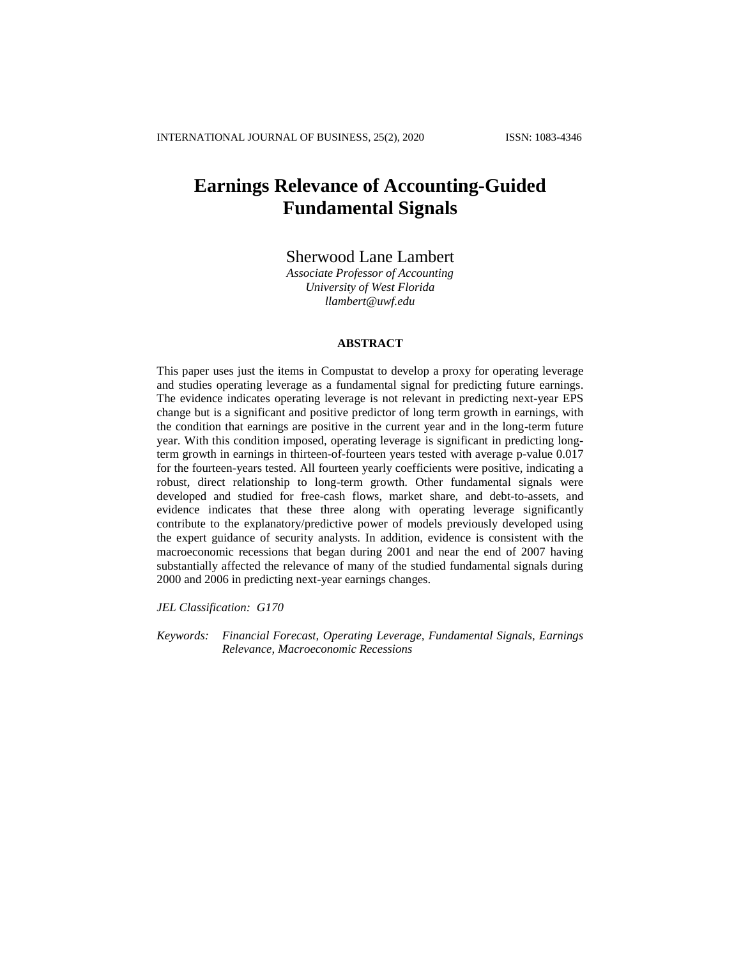# **Earnings Relevance of Accounting-Guided Fundamental Signals**

# Sherwood Lane Lambert

*Associate Professor of Accounting University of West Florida [llambert@uwf.edu](mailto:llambert@uwf.edu)*

#### **ABSTRACT**

This paper uses just the items in Compustat to develop a proxy for operating leverage and studies operating leverage as a fundamental signal for predicting future earnings. The evidence indicates operating leverage is not relevant in predicting next-year EPS change but is a significant and positive predictor of long term growth in earnings, with the condition that earnings are positive in the current year and in the long-term future year. With this condition imposed, operating leverage is significant in predicting longterm growth in earnings in thirteen-of-fourteen years tested with average p-value 0.017 for the fourteen-years tested. All fourteen yearly coefficients were positive, indicating a robust, direct relationship to long-term growth. Other fundamental signals were developed and studied for free-cash flows, market share, and debt-to-assets, and evidence indicates that these three along with operating leverage significantly contribute to the explanatory/predictive power of models previously developed using the expert guidance of security analysts. In addition, evidence is consistent with the macroeconomic recessions that began during 2001 and near the end of 2007 having substantially affected the relevance of many of the studied fundamental signals during 2000 and 2006 in predicting next-year earnings changes.

*JEL Classification: G170*

*Keywords: Financial Forecast, Operating Leverage, Fundamental Signals, Earnings Relevance, Macroeconomic Recessions*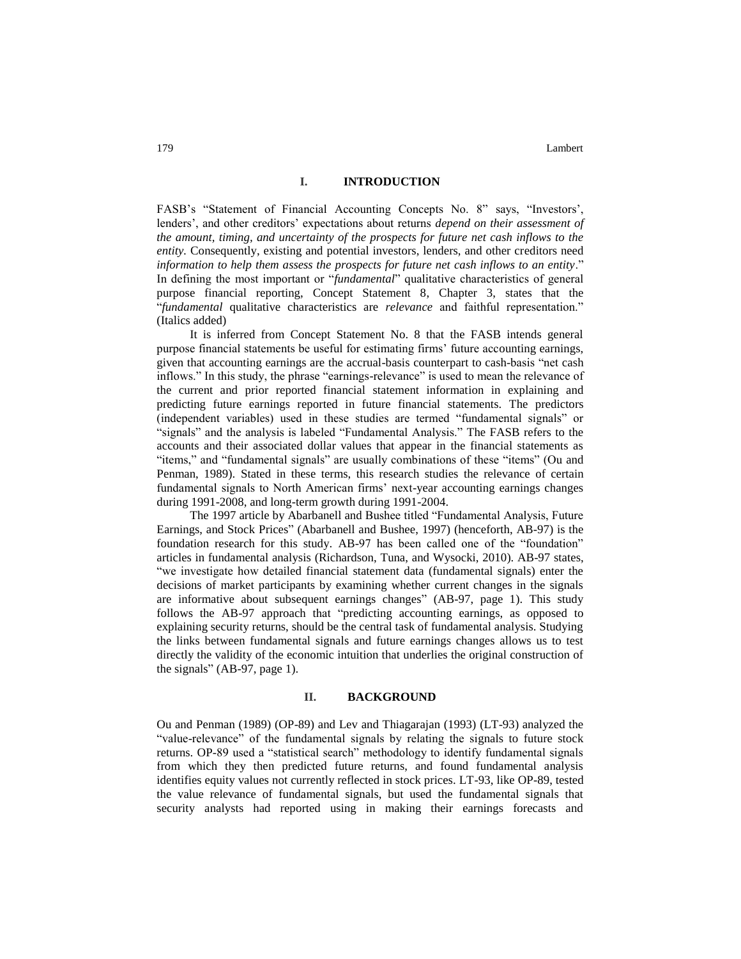#### **I. INTRODUCTION**

FASB's "Statement of Financial Accounting Concepts No. 8" says, "Investors', lenders', and other creditors' expectations about returns *depend on their assessment of the amount, timing, and uncertainty of the prospects for future net cash inflows to the entity.* Consequently, existing and potential investors, lenders, and other creditors need *information to help them assess the prospects for future net cash inflows to an entity*." In defining the most important or "*fundamental*" qualitative characteristics of general purpose financial reporting, Concept Statement 8, Chapter 3, states that the "*fundamental* qualitative characteristics are *relevance* and faithful representation." (Italics added)

It is inferred from Concept Statement No. 8 that the FASB intends general purpose financial statements be useful for estimating firms' future accounting earnings, given that accounting earnings are the accrual-basis counterpart to cash-basis "net cash inflows." In this study, the phrase "earnings-relevance" is used to mean the relevance of the current and prior reported financial statement information in explaining and predicting future earnings reported in future financial statements. The predictors (independent variables) used in these studies are termed "fundamental signals" or "signals" and the analysis is labeled "Fundamental Analysis." The FASB refers to the accounts and their associated dollar values that appear in the financial statements as "items," and "fundamental signals" are usually combinations of these "items" (Ou and Penman, 1989). Stated in these terms, this research studies the relevance of certain fundamental signals to North American firms' next-year accounting earnings changes during 1991-2008, and long-term growth during 1991-2004.

The 1997 article by Abarbanell and Bushee titled "Fundamental Analysis, Future Earnings, and Stock Prices" (Abarbanell and Bushee, 1997) (henceforth, AB-97) is the foundation research for this study. AB-97 has been called one of the "foundation" articles in fundamental analysis (Richardson, Tuna, and Wysocki, 2010). AB-97 states, "we investigate how detailed financial statement data (fundamental signals) enter the decisions of market participants by examining whether current changes in the signals are informative about subsequent earnings changes" (AB-97, page 1). This study follows the AB-97 approach that "predicting accounting earnings, as opposed to explaining security returns, should be the central task of fundamental analysis. Studying the links between fundamental signals and future earnings changes allows us to test directly the validity of the economic intuition that underlies the original construction of the signals" (AB-97, page 1).

#### **II. BACKGROUND**

Ou and Penman (1989) (OP-89) and Lev and Thiagarajan (1993) (LT-93) analyzed the "value-relevance" of the fundamental signals by relating the signals to future stock returns. OP-89 used a "statistical search" methodology to identify fundamental signals from which they then predicted future returns, and found fundamental analysis identifies equity values not currently reflected in stock prices. LT-93, like OP-89, tested the value relevance of fundamental signals, but used the fundamental signals that security analysts had reported using in making their earnings forecasts and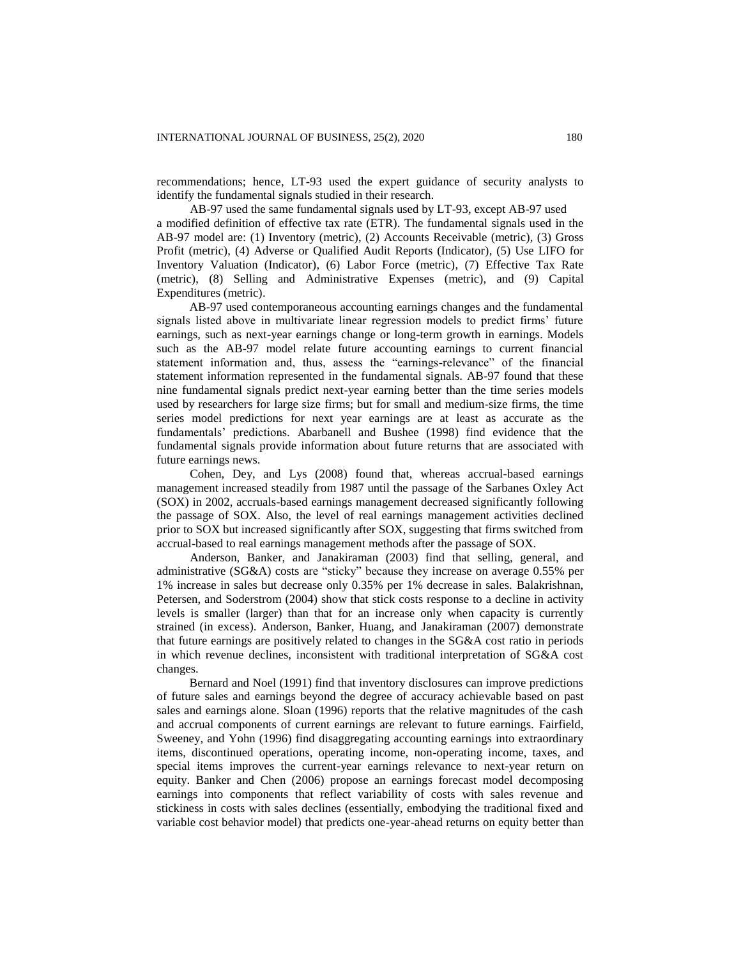recommendations; hence, LT-93 used the expert guidance of security analysts to identify the fundamental signals studied in their research.

AB-97 used the same fundamental signals used by LT-93, except AB-97 used a modified definition of effective tax rate (ETR). The fundamental signals used in the AB-97 model are: (1) Inventory (metric), (2) Accounts Receivable (metric), (3) Gross Profit (metric), (4) Adverse or Qualified Audit Reports (Indicator), (5) Use LIFO for Inventory Valuation (Indicator), (6) Labor Force (metric), (7) Effective Tax Rate (metric), (8) Selling and Administrative Expenses (metric), and (9) Capital Expenditures (metric).

AB-97 used contemporaneous accounting earnings changes and the fundamental signals listed above in multivariate linear regression models to predict firms' future earnings, such as next-year earnings change or long-term growth in earnings. Models such as the AB-97 model relate future accounting earnings to current financial statement information and, thus, assess the "earnings-relevance" of the financial statement information represented in the fundamental signals. AB-97 found that these nine fundamental signals predict next-year earning better than the time series models used by researchers for large size firms; but for small and medium-size firms, the time series model predictions for next year earnings are at least as accurate as the fundamentals' predictions. Abarbanell and Bushee (1998) find evidence that the fundamental signals provide information about future returns that are associated with future earnings news.

Cohen, Dey, and Lys (2008) found that, whereas accrual-based earnings management increased steadily from 1987 until the passage of the Sarbanes Oxley Act (SOX) in 2002, accruals-based earnings management decreased significantly following the passage of SOX. Also, the level of real earnings management activities declined prior to SOX but increased significantly after SOX, suggesting that firms switched from accrual-based to real earnings management methods after the passage of SOX.

Anderson, Banker, and Janakiraman (2003) find that selling, general, and administrative (SG&A) costs are "sticky" because they increase on average 0.55% per 1% increase in sales but decrease only 0.35% per 1% decrease in sales. Balakrishnan, Petersen, and Soderstrom (2004) show that stick costs response to a decline in activity levels is smaller (larger) than that for an increase only when capacity is currently strained (in excess). Anderson, Banker, Huang, and Janakiraman (2007) demonstrate that future earnings are positively related to changes in the SG&A cost ratio in periods in which revenue declines, inconsistent with traditional interpretation of SG&A cost changes.

Bernard and Noel (1991) find that inventory disclosures can improve predictions of future sales and earnings beyond the degree of accuracy achievable based on past sales and earnings alone. Sloan (1996) reports that the relative magnitudes of the cash and accrual components of current earnings are relevant to future earnings. Fairfield, Sweeney, and Yohn (1996) find disaggregating accounting earnings into extraordinary items, discontinued operations, operating income, non-operating income, taxes, and special items improves the current-year earnings relevance to next-year return on equity. Banker and Chen (2006) propose an earnings forecast model decomposing earnings into components that reflect variability of costs with sales revenue and stickiness in costs with sales declines (essentially, embodying the traditional fixed and variable cost behavior model) that predicts one-year-ahead returns on equity better than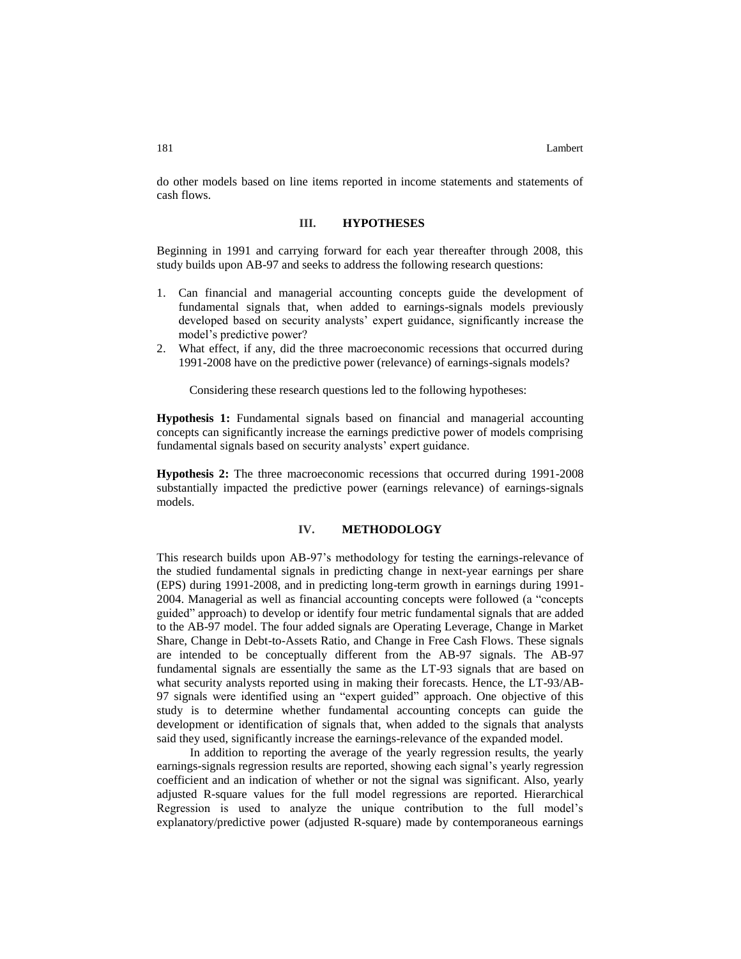do other models based on line items reported in income statements and statements of cash flows.

### **III. HYPOTHESES**

Beginning in 1991 and carrying forward for each year thereafter through 2008, this study builds upon AB-97 and seeks to address the following research questions:

- 1. Can financial and managerial accounting concepts guide the development of fundamental signals that, when added to earnings-signals models previously developed based on security analysts' expert guidance, significantly increase the model's predictive power?
- 2. What effect, if any, did the three macroeconomic recessions that occurred during 1991-2008 have on the predictive power (relevance) of earnings-signals models?

Considering these research questions led to the following hypotheses:

**Hypothesis 1:** Fundamental signals based on financial and managerial accounting concepts can significantly increase the earnings predictive power of models comprising fundamental signals based on security analysts' expert guidance.

**Hypothesis 2:** The three macroeconomic recessions that occurred during 1991-2008 substantially impacted the predictive power (earnings relevance) of earnings-signals models.

#### **IV. METHODOLOGY**

This research builds upon AB-97's methodology for testing the earnings-relevance of the studied fundamental signals in predicting change in next-year earnings per share (EPS) during 1991-2008, and in predicting long-term growth in earnings during 1991- 2004. Managerial as well as financial accounting concepts were followed (a "concepts guided" approach) to develop or identify four metric fundamental signals that are added to the AB-97 model. The four added signals are Operating Leverage, Change in Market Share, Change in Debt-to-Assets Ratio, and Change in Free Cash Flows. These signals are intended to be conceptually different from the AB-97 signals. The AB-97 fundamental signals are essentially the same as the LT-93 signals that are based on what security analysts reported using in making their forecasts. Hence, the LT-93/AB-97 signals were identified using an "expert guided" approach. One objective of this study is to determine whether fundamental accounting concepts can guide the development or identification of signals that, when added to the signals that analysts said they used, significantly increase the earnings-relevance of the expanded model.

In addition to reporting the average of the yearly regression results, the yearly earnings-signals regression results are reported, showing each signal's yearly regression coefficient and an indication of whether or not the signal was significant. Also, yearly adjusted R-square values for the full model regressions are reported. Hierarchical Regression is used to analyze the unique contribution to the full model's explanatory/predictive power (adjusted R-square) made by contemporaneous earnings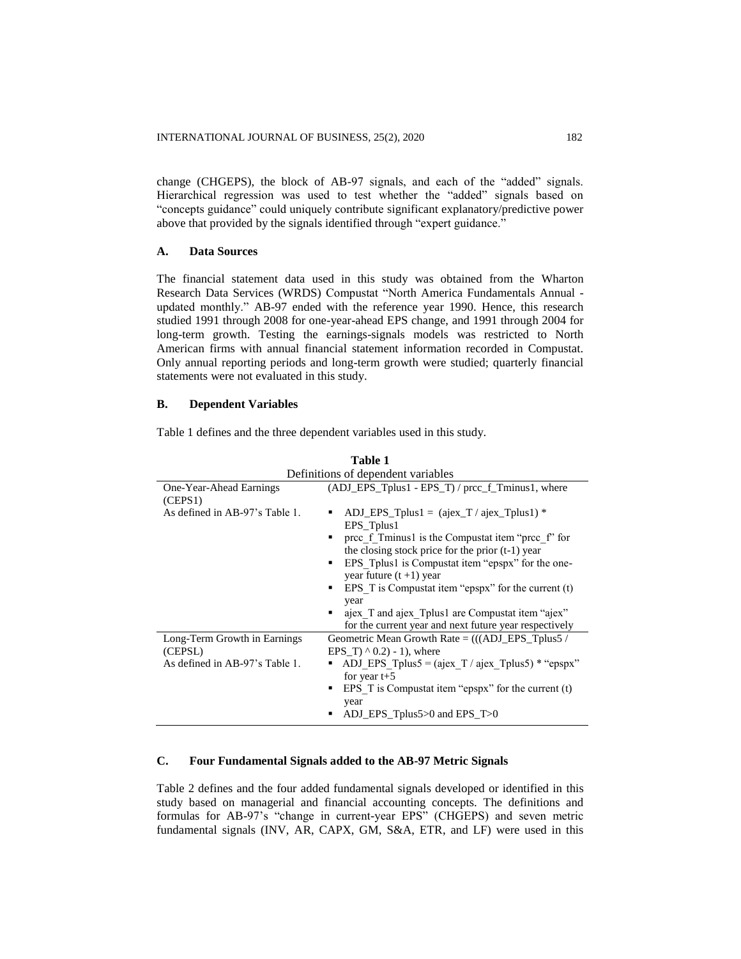change (CHGEPS), the block of AB-97 signals, and each of the "added" signals. Hierarchical regression was used to test whether the "added" signals based on "concepts guidance" could uniquely contribute significant explanatory/predictive power above that provided by the signals identified through "expert guidance."

#### **A. Data Sources**

The financial statement data used in this study was obtained from the Wharton Research Data Services (WRDS) Compustat "North America Fundamentals Annual updated monthly." AB-97 ended with the reference year 1990. Hence, this research studied 1991 through 2008 for one-year-ahead EPS change, and 1991 through 2004 for long-term growth. Testing the earnings-signals models was restricted to North American firms with annual financial statement information recorded in Compustat. Only annual reporting periods and long-term growth were studied; quarterly financial statements were not evaluated in this study.

#### **B. Dependent Variables**

Table 1 defines and the three dependent variables used in this study.

|                                                                           | Definitions of dependent variables                                                                                                                                                                                                                                                                                                                                                                                                                                     |
|---------------------------------------------------------------------------|------------------------------------------------------------------------------------------------------------------------------------------------------------------------------------------------------------------------------------------------------------------------------------------------------------------------------------------------------------------------------------------------------------------------------------------------------------------------|
| One-Year-Ahead Earnings<br>(CEPS1)                                        | $(ADJ_EPS_Tplus1 - EPS_T)/proc_f_Tminus1, where$                                                                                                                                                                                                                                                                                                                                                                                                                       |
| As defined in AB-97's Table 1.                                            | ADJ_EPS_Tplus1 = $(aieX_T/aieX_T)$ and $\frac{1}{2}$ and $\frac{1}{2}$<br>EPS_Tplus1<br>prec f Tminus1 is the Compustat item "prec f" for<br>the closing stock price for the prior $(t-1)$ year<br>EPS Tplus1 is Compustat item "epspx" for the one-<br>٠<br>year future $(t+1)$ year<br>EPS T is Compustat item "epspx" for the current $(t)$<br>year<br>" ajex_T and ajex_Tplus1 are Compustat item "ajex"<br>for the current year and next future year respectively |
| Long-Term Growth in Earnings<br>(CEPSL)<br>As defined in AB-97's Table 1. | Geometric Mean Growth Rate $=$ (((ADJ_EPS_Tplus5)<br>EPS T) $^{\wedge}$ 0.2) - 1), where<br>ADJ EPS Tplus5 = $(ajex_T / ajex_T plus5)$ * "epspx"<br>for year $t+5$<br>EPS T is Compustat item "epspx" for the current $(t)$<br>year<br>ADJ_EPS_Tplus5 $>0$ and EPS_T $>0$                                                                                                                                                                                              |

**Table 1**

## **C. Four Fundamental Signals added to the AB-97 Metric Signals**

Table 2 defines and the four added fundamental signals developed or identified in this study based on managerial and financial accounting concepts. The definitions and formulas for AB-97's "change in current-year EPS" (CHGEPS) and seven metric fundamental signals (INV, AR, CAPX, GM, S&A, ETR, and LF) were used in this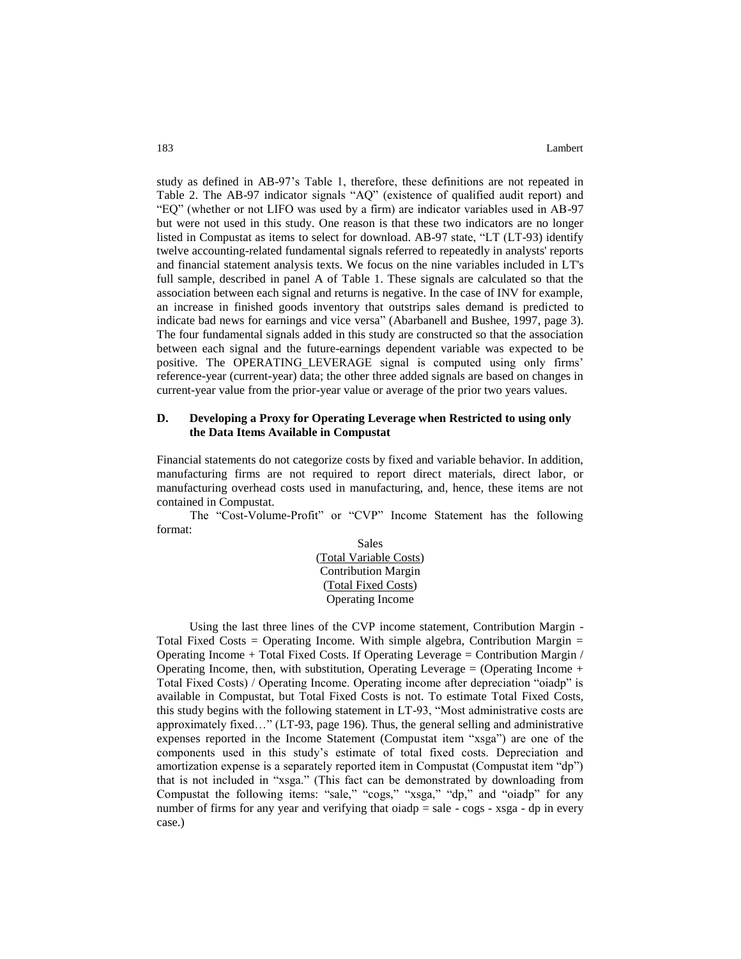study as defined in AB-97's Table 1, therefore, these definitions are not repeated in Table 2. The AB-97 indicator signals "AQ" (existence of qualified audit report) and "EQ" (whether or not LIFO was used by a firm) are indicator variables used in AB-97 but were not used in this study. One reason is that these two indicators are no longer listed in Compustat as items to select for download. AB-97 state, "LT (LT-93) identify twelve accounting-related fundamental signals referred to repeatedly in analysts' reports and financial statement analysis texts. We focus on the nine variables included in LT's full sample, described in panel A of Table 1. These signals are calculated so that the association between each signal and returns is negative. In the case of INV for example, an increase in finished goods inventory that outstrips sales demand is predicted to indicate bad news for earnings and vice versa" (Abarbanell and Bushee, 1997, page 3). The four fundamental signals added in this study are constructed so that the association between each signal and the future-earnings dependent variable was expected to be positive. The OPERATING\_LEVERAGE signal is computed using only firms' reference-year (current-year) data; the other three added signals are based on changes in current-year value from the prior-year value or average of the prior two years values.

### **D. Developing a Proxy for Operating Leverage when Restricted to using only the Data Items Available in Compustat**

Financial statements do not categorize costs by fixed and variable behavior. In addition, manufacturing firms are not required to report direct materials, direct labor, or manufacturing overhead costs used in manufacturing, and, hence, these items are not contained in Compustat.

The "Cost-Volume-Profit" or "CVP" Income Statement has the following format:

> Sales (Total Variable Costs) Contribution Margin (Total Fixed Costs) Operating Income

Using the last three lines of the CVP income statement, Contribution Margin - Total Fixed Costs = Operating Income. With simple algebra, Contribution Margin = Operating Income + Total Fixed Costs. If Operating Leverage = Contribution Margin / Operating Income, then, with substitution, Operating Leverage = (Operating Income + Total Fixed Costs) / Operating Income. Operating income after depreciation "oiadp" is available in Compustat, but Total Fixed Costs is not. To estimate Total Fixed Costs, this study begins with the following statement in LT-93, "Most administrative costs are approximately fixed…" (LT-93, page 196). Thus, the general selling and administrative expenses reported in the Income Statement (Compustat item "xsga") are one of the components used in this study's estimate of total fixed costs. Depreciation and amortization expense is a separately reported item in Compustat (Compustat item "dp") that is not included in "xsga." (This fact can be demonstrated by downloading from Compustat the following items: "sale," "cogs," "xsga," "dp," and "oiadp" for any number of firms for any year and verifying that oiadp  $=$  sale - cogs - xsga - dp in every case.)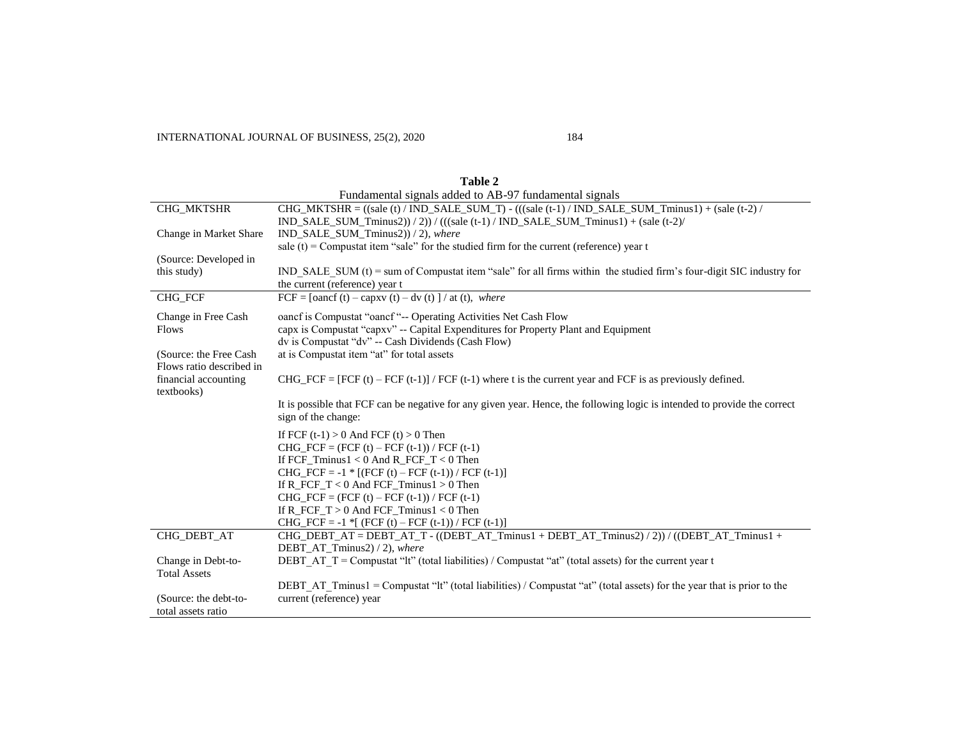|                                    | Fundamental signals added to AB-9/ fundamental signals                                                                       |
|------------------------------------|------------------------------------------------------------------------------------------------------------------------------|
| CHG_MKTSHR                         | $CHG_MKTSHR = ((side (t) / IND\_SALE_SUM_T) - (((side (t-1) / IND\_SALE_SUM_Tminus1) + ( sale (t-2) / ID_SALE_SUM_Tminus2))$ |
|                                    | IND_SALE_SUM_Tminus2))/2))/(((sale (t-1)/IND_SALE_SUM_Tminus1) + (sale (t-2)/                                                |
| Change in Market Share             | IND SALE SUM Tminus2) $/2$ , where                                                                                           |
|                                    | sale (t) = Compustat item "sale" for the studied firm for the current (reference) year $t$                                   |
| (Source: Developed in              |                                                                                                                              |
| this study)                        | IND SALE SUM $(t)$ = sum of Compustat item "sale" for all firms within the studied firm's four-digit SIC industry for        |
|                                    | the current (reference) year t                                                                                               |
| CHG_FCF                            | $\text{FCF} = \text{foancf}(t) - \text{capxy}(t) - \text{dv}(t)$   / at (t), where                                           |
| Change in Free Cash                | oancf is Compustat "oancf"-- Operating Activities Net Cash Flow                                                              |
| <b>Flows</b>                       | capx is Compustat "capxv" -- Capital Expenditures for Property Plant and Equipment                                           |
|                                    | dv is Compustat "dv" -- Cash Dividends (Cash Flow)                                                                           |
| (Source: the Free Cash             | at is Compustat item "at" for total assets                                                                                   |
| Flows ratio described in           |                                                                                                                              |
| financial accounting<br>textbooks) | CHG_FCF = [FCF (t) – FCF (t-1)] / FCF (t-1) where t is the current year and FCF is as previously defined.                    |
|                                    | It is possible that FCF can be negative for any given year. Hence, the following logic is intended to provide the correct    |
|                                    | sign of the change:                                                                                                          |
|                                    |                                                                                                                              |
|                                    | If FCF $(t-1) > 0$ And FCF $(t) > 0$ Then                                                                                    |
|                                    | CHG FCF = $(FCF(t) - FCF(t-1))/FCF(t-1)$                                                                                     |
|                                    | If FCF Tminus1 < 0 And R FCF $T < 0$ Then                                                                                    |
|                                    | CHG_FCF = $-1$ * [(FCF (t) – FCF (t-1)) / FCF (t-1)]                                                                         |
|                                    | If $R_FCF_T < 0$ And $FCF_T$ minus $1 > 0$ Then                                                                              |
|                                    | CHG_FCF = $(FCF(t) - FCF(t-1))/FCF(t-1)$                                                                                     |
|                                    | If R FCF $T > 0$ And FCF Tminus $1 < 0$ Then                                                                                 |
|                                    | CHG_FCF = -1 $*$ [ (FCF (t) – FCF (t-1)) / FCF (t-1)]                                                                        |
| CHG_DEBT_AT                        | $CHG_DEBT_AT = DEBT_AT_T - ((DEBT_AT_Tminus1 + DEBT_AT_Tminus2)/2)) / ((DEBT_AT_Tminus1 + T_Tminus1)$                        |
|                                    | DEBT AT Tminus2 $/2$ , where                                                                                                 |
| Change in Debt-to-                 | DEBT AT $T =$ Compustat "lt" (total liabilities) / Compustat "at" (total assets) for the current year t                      |
| <b>Total Assets</b>                |                                                                                                                              |
|                                    | DEBT AT Tminus1 = Compustat "it" (total liabilities) / Compustat "at" (total assets) for the year that is prior to the       |
| (Source: the debt-to-              | current (reference) year                                                                                                     |
| total assets ratio                 |                                                                                                                              |

| Table 2                                                |  |
|--------------------------------------------------------|--|
| Fundamental signals added to AB-97 fundamental signals |  |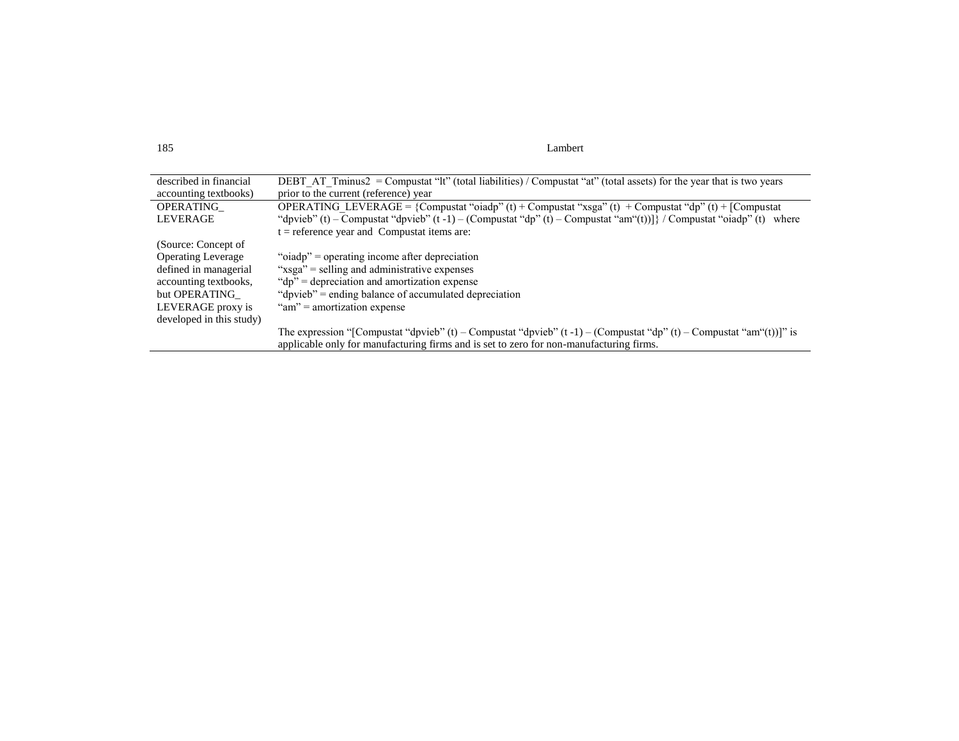185 Lambert

| described in financial    | DEBT AT Tminus2 = Compustat "It" (total liabilities) / Compustat "at" (total assets) for the year that is two years          |
|---------------------------|------------------------------------------------------------------------------------------------------------------------------|
| accounting textbooks)     | prior to the current (reference) year                                                                                        |
| OPERATING                 | OPERATING LEVERAGE = {Compustat "oiadp" (t) + Compustat "xsga" (t) + Compustat "dp" (t) + [Compustat                         |
| <b>LEVERAGE</b>           | "dpvieb" (t) – Compustat "dpvieb" $(t - 1)$ – (Compustat "dp" $(t)$ – Compustat "am" $(t)$ )} / Compustat "oiadp" (t) where  |
|                           | $t =$ reference year and Compustat items are:                                                                                |
| (Source: Concept of       |                                                                                                                              |
| <b>Operating Leverage</b> | "oiadp" = operating income after depreciation                                                                                |
| defined in managerial     | "xsga" = selling and administrative expenses                                                                                 |
| accounting textbooks,     | "dp" = depreciation and amortization expense                                                                                 |
| but OPERATING             | "dpvieb" = ending balance of accumulated depreciation                                                                        |
| LEVERAGE proxy is         | " $am$ " = amortization expense                                                                                              |
| developed in this study)  |                                                                                                                              |
|                           | The expression "[Compustat "dpvieb" $(t)$ – Compustat "dpvieb" $(t-1)$ – (Compustat "dp" $(t)$ – Compustat "am" $(t)$ ]]" is |
|                           | applicable only for manufacturing firms and is set to zero for non-manufacturing firms.                                      |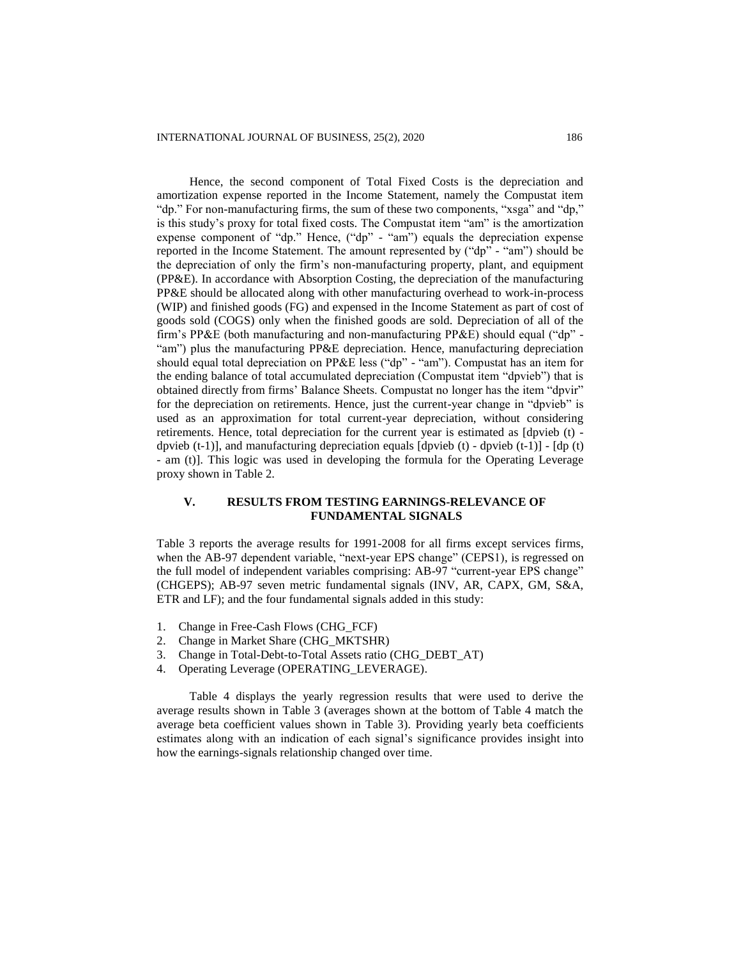Hence, the second component of Total Fixed Costs is the depreciation and amortization expense reported in the Income Statement, namely the Compustat item "dp." For non-manufacturing firms, the sum of these two components, "xsga" and "dp," is this study's proxy for total fixed costs. The Compustat item "am" is the amortization expense component of "dp." Hence, ("dp" - "am") equals the depreciation expense reported in the Income Statement. The amount represented by ("dp" - "am") should be the depreciation of only the firm's non-manufacturing property, plant, and equipment (PP&E). In accordance with Absorption Costing, the depreciation of the manufacturing PP&E should be allocated along with other manufacturing overhead to work-in-process (WIP) and finished goods (FG) and expensed in the Income Statement as part of cost of goods sold (COGS) only when the finished goods are sold. Depreciation of all of the firm's PP&E (both manufacturing and non-manufacturing PP&E) should equal ("dp" - "am") plus the manufacturing PP&E depreciation. Hence, manufacturing depreciation should equal total depreciation on PP&E less ("dp" - "am"). Compustat has an item for the ending balance of total accumulated depreciation (Compustat item "dpvieb") that is obtained directly from firms' Balance Sheets. Compustat no longer has the item "dpvir" for the depreciation on retirements. Hence, just the current-year change in "dpvieb" is used as an approximation for total current-year depreciation, without considering retirements. Hence, total depreciation for the current year is estimated as [dpvieb (t) dpvieb (t-1)], and manufacturing depreciation equals [dpvieb (t) - dpvieb (t-1)] - [dp (t) - am (t)]. This logic was used in developing the formula for the Operating Leverage proxy shown in Table 2.

### **V. RESULTS FROM TESTING EARNINGS-RELEVANCE OF FUNDAMENTAL SIGNALS**

Table 3 reports the average results for 1991-2008 for all firms except services firms, when the AB-97 dependent variable, "next-year EPS change" (CEPS1), is regressed on the full model of independent variables comprising: AB-97 "current-year EPS change" (CHGEPS); AB-97 seven metric fundamental signals (INV, AR, CAPX, GM, S&A, ETR and LF); and the four fundamental signals added in this study:

- 1. Change in Free-Cash Flows (CHG\_FCF)
- 2. Change in Market Share (CHG\_MKTSHR)
- 3. Change in Total-Debt-to-Total Assets ratio (CHG\_DEBT\_AT)
- 4. Operating Leverage (OPERATING\_LEVERAGE).

Table 4 displays the yearly regression results that were used to derive the average results shown in Table 3 (averages shown at the bottom of Table 4 match the average beta coefficient values shown in Table 3). Providing yearly beta coefficients estimates along with an indication of each signal's significance provides insight into how the earnings-signals relationship changed over time.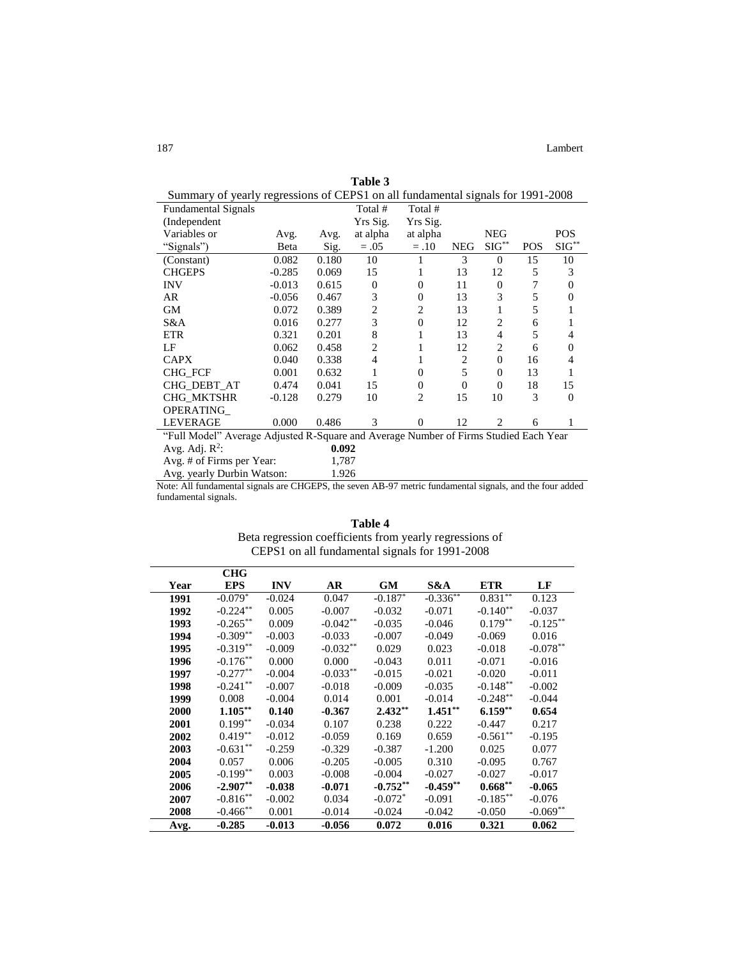| Summary of yearly regressions of CEPST on all fundamental signals for 1991-2008      |          |       |                |                |                |                |            |                |
|--------------------------------------------------------------------------------------|----------|-------|----------------|----------------|----------------|----------------|------------|----------------|
| <b>Fundamental Signals</b>                                                           |          |       | Total #        | Total #        |                |                |            |                |
| (Independent                                                                         |          |       | Yrs Sig.       | Yrs Sig.       |                |                |            |                |
| Variables or                                                                         | Avg.     | Avg.  | at alpha       | at alpha       |                | <b>NEG</b>     |            | <b>POS</b>     |
| "Signals")                                                                           | Beta     | Sig.  | $=.05$         | $=.10$         | <b>NEG</b>     | $SIG^{**}$     | <b>POS</b> | $SIG^{**}$     |
| (Constant)                                                                           | 0.082    | 0.180 | 10             |                | 3              | $\Omega$       | 15         | 10             |
| <b>CHGEPS</b>                                                                        | $-0.285$ | 0.069 | 15             | 1              | 13             | 12             | 5          | 3              |
| <b>INV</b>                                                                           | $-0.013$ | 0.615 | $\overline{0}$ | $\Omega$       | 11             | $\Omega$       | 7          | 0              |
| AR                                                                                   | $-0.056$ | 0.467 | 3              | $\mathbf{0}$   | 13             | 3              | 5          | $\overline{0}$ |
| GМ                                                                                   | 0.072    | 0.389 | $\overline{2}$ | 2              | 13             | 1              | 5          |                |
| S&A                                                                                  | 0.016    | 0.277 | 3              | $\mathbf{0}$   | 12             | 2              | 6          |                |
| <b>ETR</b>                                                                           | 0.321    | 0.201 | 8              | 1              | 13             | $\overline{4}$ | 5          | 4              |
| LF                                                                                   | 0.062    | 0.458 | $\overline{2}$ | 1              | 12             | 2              | 6          | $\Omega$       |
| <b>CAPX</b>                                                                          | 0.040    | 0.338 | $\overline{4}$ | 1              | $\overline{2}$ | $\theta$       | 16         | 4              |
| <b>CHG FCF</b>                                                                       | 0.001    | 0.632 | 1              | $\Omega$       | 5              | $\Omega$       | 13         | 1              |
| CHG DEBT AT                                                                          | 0.474    | 0.041 | 15             | $\mathbf{0}$   | $\Omega$       | $\mathbf{0}$   | 18         | 15             |
| CHG_MKTSHR                                                                           | $-0.128$ | 0.279 | 10             | $\overline{c}$ | 15             | 10             | 3          | $\Omega$       |
| OPERATING                                                                            |          |       |                |                |                |                |            |                |
| <b>LEVERAGE</b>                                                                      | 0.000    | 0.486 | 3              | $\Omega$       | 12             | 2              | 6          | 1              |
| "Full Model" Average Adjusted R-Square and Average Number of Firms Studied Each Year |          |       |                |                |                |                |            |                |
| Avg. Adj. $R^2$ :                                                                    |          | 0.092 |                |                |                |                |            |                |
| Avg. # of Firms per Year:                                                            | 1,787    |       |                |                |                |                |            |                |
| Avg. yearly Durbin Watson:                                                           |          | 1.926 |                |                |                |                |            |                |

**Table 3**<br>**EDS1** on all fu Summary of yearly regressions of CEPS1 on all fundamental signals for 1991-2008

Note: All fundamental signals are CHGEPS, the seven AB-97 metric fundamental signals, and the four added fundamental signals.

|      |                       |            | CEPS1 on all fundamental signals for 1991-2008 |            |            |             |             |
|------|-----------------------|------------|------------------------------------------------|------------|------------|-------------|-------------|
|      | <b>CHG</b>            |            |                                                |            |            |             |             |
| Year | <b>EPS</b>            | <b>INV</b> | AR                                             | <b>GM</b>  | S&A        | <b>ETR</b>  | LF          |
| 1991 | $-0.079$ <sup>*</sup> | $-0.024$   | 0.047                                          | $-0.187$   | $-0.336**$ | $0.831***$  | 0.123       |
| 1992 | $-0.224***$           | 0.005      | $-0.007$                                       | $-0.032$   | $-0.071$   | $-0.140**$  | $-0.037$    |
| 1993 | $-0.265***$           | 0.009      | $-0.042**$                                     | $-0.035$   | $-0.046$   | $0.179**$   | $-0.125***$ |
| 1994 | $-0.309**$            | $-0.003$   | $-0.033$                                       | $-0.007$   | $-0.049$   | $-0.069$    | 0.016       |
| 1995 | $-0.319**$            | $-0.009$   | $-0.032**$                                     | 0.029      | 0.023      | $-0.018$    | $-0.078**$  |
| 1996 | $-0.176**$            | 0.000      | 0.000                                          | $-0.043$   | 0.011      | $-0.071$    | $-0.016$    |
| 1997 | $-0.277**$            | $-0.004$   | $-0.033**$                                     | $-0.015$   | $-0.021$   | $-0.020$    | $-0.011$    |
| 1998 | $-0.241$ **           | $-0.007$   | $-0.018$                                       | $-0.009$   | $-0.035$   | $-0.148**$  | $-0.002$    |
| 1999 | 0.008                 | $-0.004$   | 0.014                                          | 0.001      | $-0.014$   | $-0.248**$  | $-0.044$    |
| 2000 | $1.105***$            | 0.140      | $-0.367$                                       | $2.432**$  | $1.451***$ | $6.159**$   | 0.654       |
| 2001 | $0.199***$            | $-0.034$   | 0.107                                          | 0.238      | 0.222      | $-0.447$    | 0.217       |
| 2002 | $0.419**$             | $-0.012$   | $-0.059$                                       | 0.169      | 0.659      | $-0.561**$  | $-0.195$    |
| 2003 | $-0.631**$            | $-0.259$   | $-0.329$                                       | $-0.387$   | $-1.200$   | 0.025       | 0.077       |
| 2004 | 0.057                 | 0.006      | $-0.205$                                       | $-0.005$   | 0.310      | $-0.095$    | 0.767       |
| 2005 | $-0.199**$            | 0.003      | $-0.008$                                       | $-0.004$   | $-0.027$   | $-0.027$    | $-0.017$    |
| 2006 | $-2.907**$            | $-0.038$   | $-0.071$                                       | $-0.752**$ | $-0.459**$ | $0.668***$  | $-0.065$    |
| 2007 | $-0.816**$            | $-0.002$   | 0.034                                          | $-0.072^*$ | $-0.091$   | $-0.185***$ | $-0.076$    |
| 2008 | $-0.466$ **           | 0.001      | $-0.014$                                       | $-0.024$   | $-0.042$   | $-0.050$    | $-0.069**$  |
| Avg. | $-0.285$              | $-0.013$   | $-0.056$                                       | 0.072      | 0.016      | 0.321       | 0.062       |

**Table 4**  Beta regression coefficients from yearly regressions of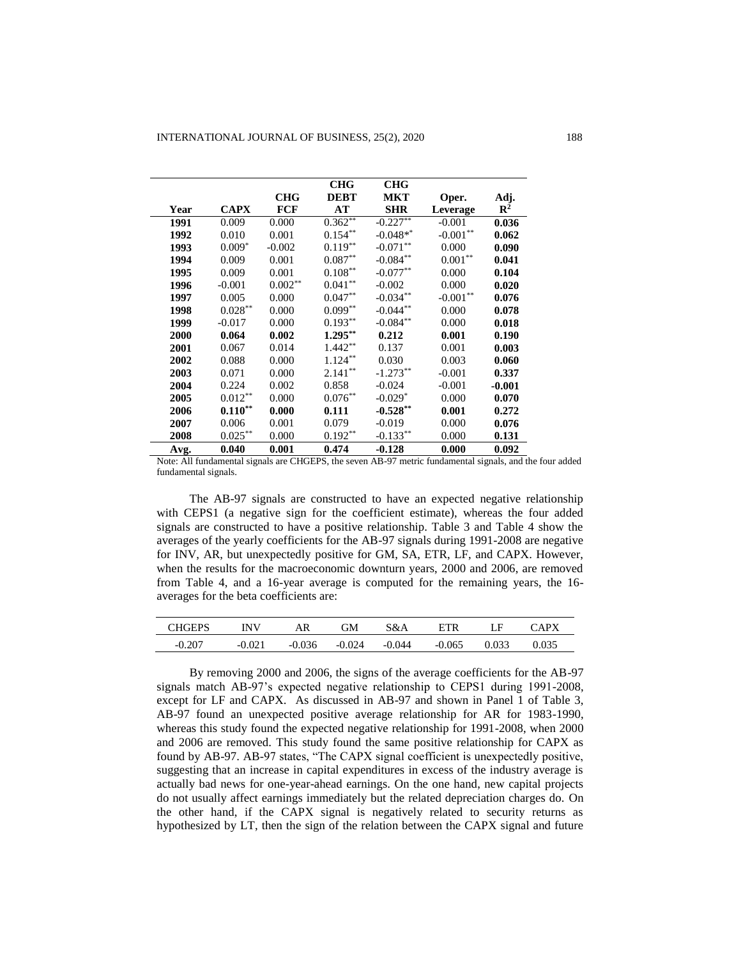|      |             |            | <b>CHG</b>         | <b>CHG</b>  |                    |                |
|------|-------------|------------|--------------------|-------------|--------------------|----------------|
|      |             | <b>CHG</b> | <b>DEBT</b>        | <b>MKT</b>  | Oper.              | Adj.           |
| Year | <b>CAPX</b> | <b>FCF</b> | AT                 | <b>SHR</b>  | Leverage           | $\mathbb{R}^2$ |
| 1991 | 0.009       | 0.000      | $0.362**$          | $-0.227**$  | $-0.001$           | 0.036          |
| 1992 | 0.010       | 0.001      | $0.154***$         | $-0.048**$  | $-0.001**$         | 0.062          |
| 1993 | $0.009*$    | $-0.002$   | $0.119***$         | $-0.071**$  | 0.000              | 0.090          |
| 1994 | 0.009       | 0.001      | $0.087**$          | $-0.084**$  | $0.001^{\ast\ast}$ | 0.041          |
| 1995 | 0.009       | 0.001      | $0.108^{\ast\ast}$ | $-0.077**$  | 0.000              | 0.104          |
| 1996 | $-0.001$    | $0.002**$  | $0.041**$          | $-0.002$    | 0.000              | 0.020          |
| 1997 | 0.005       | 0.000      | $0.047**$          | $-0.034**$  | $-0.001**$         | 0.076          |
| 1998 | $0.028***$  | 0.000      | $0.099**$          | $-0.044**$  | 0.000              | 0.078          |
| 1999 | $-0.017$    | 0.000      | $0.193**$          | $-0.084***$ | 0.000              | 0.018          |
| 2000 | 0.064       | 0.002      | $1.295***$         | 0.212       | 0.001              | 0.190          |
| 2001 | 0.067       | 0.014      | $1.442**$          | 0.137       | 0.001              | 0.003          |
| 2002 | 0.088       | 0.000      | $1.124***$         | 0.030       | 0.003              | 0.060          |
| 2003 | 0.071       | 0.000      | $2.141***$         | $-1.273**$  | $-0.001$           | 0.337          |
| 2004 | 0.224       | 0.002      | 0.858              | $-0.024$    | $-0.001$           | $-0.001$       |
| 2005 | $0.012**$   | 0.000      | $0.076^{\ast\ast}$ | $-0.029*$   | 0.000              | 0.070          |
| 2006 | $0.110***$  | 0.000      | 0.111              | $-0.528**$  | 0.001              | 0.272          |
| 2007 | 0.006       | 0.001      | 0.079              | $-0.019$    | 0.000              | 0.076          |
| 2008 | $0.025***$  | 0.000      | $0.192**$          | $-0.133**$  | 0.000              | 0.131          |
| Avg. | 0.040       | 0.001      | 0.474              | $-0.128$    | 0.000              | 0.092          |

Note: All fundamental signals are CHGEPS, the seven AB-97 metric fundamental signals, and the four added fundamental signals.

The AB-97 signals are constructed to have an expected negative relationship with CEPS1 (a negative sign for the coefficient estimate), whereas the four added signals are constructed to have a positive relationship. Table 3 and Table 4 show the averages of the yearly coefficients for the AB-97 signals during 1991-2008 are negative for INV, AR, but unexpectedly positive for GM, SA, ETR, LF, and CAPX. However, when the results for the macroeconomic downturn years, 2000 and 2006, are removed from Table 4, and a 16-year average is computed for the remaining years, the 16 averages for the beta coefficients are:

| CHGEPS   | INW      | ۹R       | ЭM     | 3&A  | ETR      | LΕ    | $\Delta$ DV |
|----------|----------|----------|--------|------|----------|-------|-------------|
| $-0.207$ | $-0.021$ | $-0.036$ | -0.024 | .044 | $-0.065$ | 0.033 |             |

By removing 2000 and 2006, the signs of the average coefficients for the AB-97 signals match AB-97's expected negative relationship to CEPS1 during 1991-2008, except for LF and CAPX. As discussed in AB-97 and shown in Panel 1 of Table 3, AB-97 found an unexpected positive average relationship for AR for 1983-1990, whereas this study found the expected negative relationship for 1991-2008, when 2000 and 2006 are removed. This study found the same positive relationship for CAPX as found by AB-97. AB-97 states, "The CAPX signal coefficient is unexpectedly positive, suggesting that an increase in capital expenditures in excess of the industry average is actually bad news for one-year-ahead earnings. On the one hand, new capital projects do not usually affect earnings immediately but the related depreciation charges do. On the other hand, if the CAPX signal is negatively related to security returns as hypothesized by LT, then the sign of the relation between the CAPX signal and future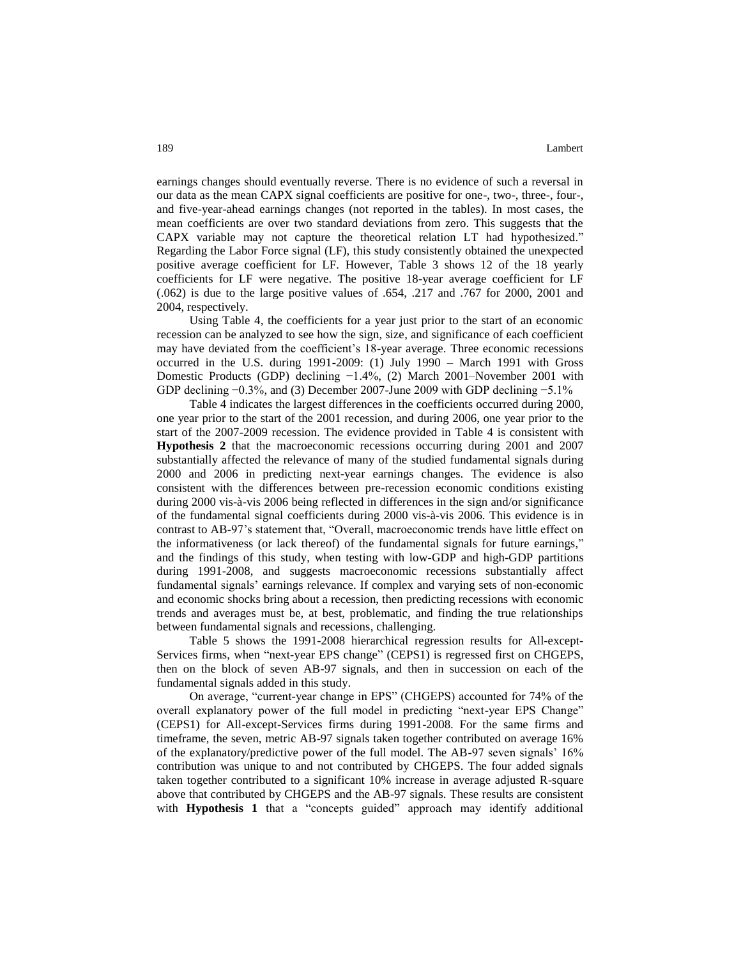earnings changes should eventually reverse. There is no evidence of such a reversal in our data as the mean CAPX signal coefficients are positive for one-, two-, three-, four-, and five-year-ahead earnings changes (not reported in the tables). In most cases, the mean coefficients are over two standard deviations from zero. This suggests that the CAPX variable may not capture the theoretical relation LT had hypothesized." Regarding the Labor Force signal (LF), this study consistently obtained the unexpected positive average coefficient for LF. However, Table 3 shows 12 of the 18 yearly coefficients for LF were negative. The positive 18-year average coefficient for LF (.062) is due to the large positive values of .654, .217 and .767 for 2000, 2001 and 2004, respectively.

Using Table 4, the coefficients for a year just prior to the start of an economic recession can be analyzed to see how the sign, size, and significance of each coefficient may have deviated from the coefficient's 18-year average. Three economic recessions occurred in the U.S. during 1991-2009: (1) July 1990 – March 1991 with Gross Domestic Products (GDP) declining −1.4%, (2) March 2001–November 2001 with GDP declining −0.3%, and (3) December 2007-June 2009 with GDP declining −5.1%

Table 4 indicates the largest differences in the coefficients occurred during 2000, one year prior to the start of the 2001 recession, and during 2006, one year prior to the start of the 2007-2009 recession. The evidence provided in Table 4 is consistent with **Hypothesis 2** that the macroeconomic recessions occurring during 2001 and 2007 substantially affected the relevance of many of the studied fundamental signals during 2000 and 2006 in predicting next-year earnings changes. The evidence is also consistent with the differences between pre-recession economic conditions existing during 2000 vis-à-vis 2006 being reflected in differences in the sign and/or significance of the fundamental signal coefficients during 2000 vis-à-vis 2006. This evidence is in contrast to AB-97's statement that, "Overall, macroeconomic trends have little effect on the informativeness (or lack thereof) of the fundamental signals for future earnings," and the findings of this study, when testing with low-GDP and high-GDP partitions during 1991-2008, and suggests macroeconomic recessions substantially affect fundamental signals' earnings relevance. If complex and varying sets of non-economic and economic shocks bring about a recession, then predicting recessions with economic trends and averages must be, at best, problematic, and finding the true relationships between fundamental signals and recessions, challenging.

Table 5 shows the 1991-2008 hierarchical regression results for All-except-Services firms, when "next-year EPS change" (CEPS1) is regressed first on CHGEPS, then on the block of seven AB-97 signals, and then in succession on each of the fundamental signals added in this study.

On average, "current-year change in EPS" (CHGEPS) accounted for 74% of the overall explanatory power of the full model in predicting "next-year EPS Change" (CEPS1) for All-except-Services firms during 1991-2008. For the same firms and timeframe, the seven, metric AB-97 signals taken together contributed on average 16% of the explanatory/predictive power of the full model. The AB-97 seven signals' 16% contribution was unique to and not contributed by CHGEPS. The four added signals taken together contributed to a significant 10% increase in average adjusted R-square above that contributed by CHGEPS and the AB-97 signals. These results are consistent with **Hypothesis 1** that a "concepts guided" approach may identify additional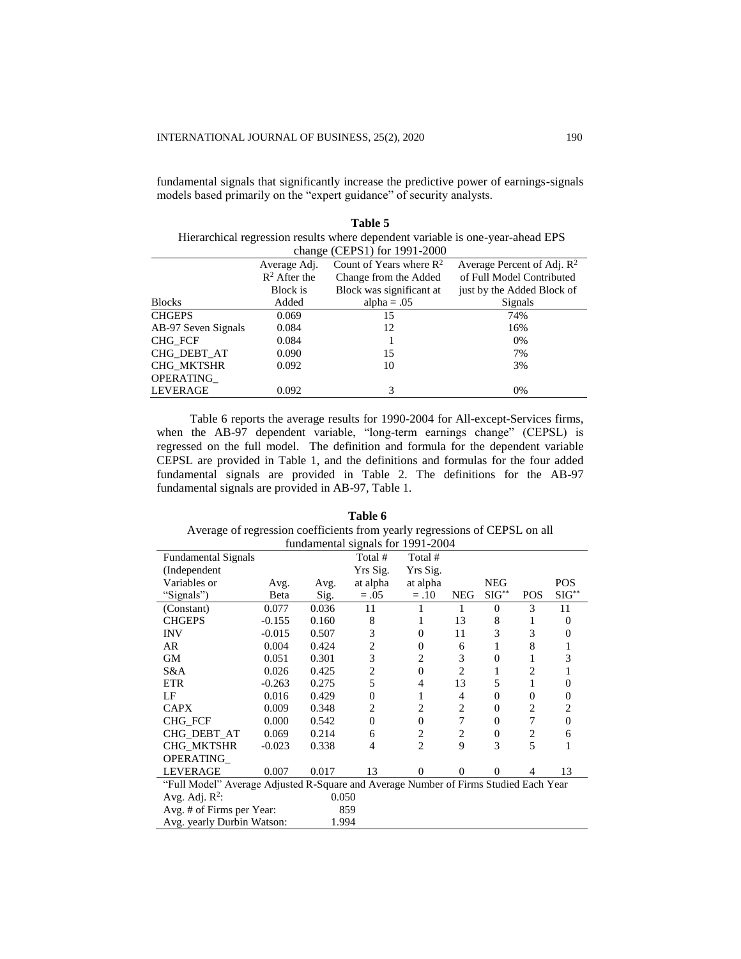fundamental signals are provided in AB-97, Table 1.

 $\rm CHG\_MKTSHR$ 

fundamental signals that significantly increase the predictive power of earnings-signals models based primarily on the "expert guidance" of security analysts.

|                     |                 | Table 5                                                                        |                                        |
|---------------------|-----------------|--------------------------------------------------------------------------------|----------------------------------------|
|                     |                 | Hierarchical regression results where dependent variable is one-year-ahead EPS |                                        |
|                     |                 | change (CEPS1) for 1991-2000                                                   |                                        |
|                     | Average Adj.    | Count of Years where $\mathbb{R}^2$                                            | Average Percent of Adj. R <sup>2</sup> |
|                     | $R^2$ After the | Change from the Added                                                          | of Full Model Contributed              |
|                     | Block is        | Block was significant at                                                       | just by the Added Block of             |
| <b>Blocks</b>       | Added           | alpha = $.05$                                                                  | Signals                                |
| <b>CHGEPS</b>       | 0.069           | 15                                                                             | 74%                                    |
| AB-97 Seven Signals | 0.084           | 12                                                                             | 16%                                    |
| CHG FCF             | 0.084           |                                                                                | $0\%$                                  |
| CHG DEBT AT         | 0.090           | 15                                                                             | 7%                                     |
| CHG MKTSHR          | 0.092           | 10                                                                             | 3%                                     |

OPERATING\_ LEVERAGE 0.092 3 0% Table 6 reports the average results for 1990-2004 for All-except-Services firms, when the AB-97 dependent variable, "long-term earnings change" (CEPSL) is regressed on the full model. The definition and formula for the dependent variable CEPSL are provided in Table 1, and the definitions and formulas for the four added fundamental signals are provided in Table 2. The definitions for the AB-97

| Table 6                                                                    |
|----------------------------------------------------------------------------|
| Average of regression coefficients from yearly regressions of CEPSL on all |
| fundamental signals for 1991-2004                                          |

|                                                                                      |          |       | rungamental signals for $1331 - 200 +$ |                |                |                |            |                  |
|--------------------------------------------------------------------------------------|----------|-------|----------------------------------------|----------------|----------------|----------------|------------|------------------|
| <b>Fundamental Signals</b>                                                           |          |       | Total #                                | Total #        |                |                |            |                  |
| (Independent                                                                         |          |       | Yrs Sig.                               | Yrs Sig.       |                |                |            |                  |
| Variables or                                                                         | Avg.     | Avg.  | at alpha                               | at alpha       |                | <b>NEG</b>     |            | <b>POS</b>       |
| "Signals")                                                                           | Beta     | Sig.  | $=.05$                                 | $=.10$         | <b>NEG</b>     | $SIG^{**}$     | <b>POS</b> | $SIG^{**}$       |
| (Constant)                                                                           | 0.077    | 0.036 | 11                                     |                | 1              | $\Omega$       | 3          | 11               |
| <b>CHGEPS</b>                                                                        | $-0.155$ | 0.160 | 8                                      | 1              | 13             | 8              | 1          | $\mathbf{0}$     |
| <b>INV</b>                                                                           | $-0.015$ | 0.507 | 3                                      | $\mathbf{0}$   | 11             | 3              | 3          | $\overline{0}$   |
| AR                                                                                   | 0.004    | 0.424 | $\overline{c}$                         | $\mathbf{0}$   | 6              |                | 8          |                  |
| GМ                                                                                   | 0.051    | 0.301 | 3                                      | 2              | 3              | $\Omega$       |            | 3                |
| S&A                                                                                  | 0.026    | 0.425 | $\overline{c}$                         | $\overline{0}$ | $\overline{c}$ |                | 2          | 1                |
| <b>ETR</b>                                                                           | $-0.263$ | 0.275 | 5                                      | 4              | 13             | 5              | 1          | $\overline{0}$   |
| LF                                                                                   | 0.016    | 0.429 | $\theta$                               | 1              | 4              | $\overline{0}$ | $\Omega$   | $\boldsymbol{0}$ |
| <b>CAPX</b>                                                                          | 0.009    | 0.348 | 2                                      | 2              | 2              | $\overline{0}$ | 2          | $\overline{2}$   |
| <b>CHG FCF</b>                                                                       | 0.000    | 0.542 | $\theta$                               | $\mathbf{0}$   | 7              | $\Omega$       | 7          | $\mathbf{0}$     |
| CHG_DEBT_AT                                                                          | 0.069    | 0.214 | 6                                      | $\overline{2}$ | 2              | $\overline{0}$ | 2          | 6                |
| CHG_MKTSHR                                                                           | $-0.023$ | 0.338 | 4                                      | $\overline{c}$ | 9              | 3              | 5          | 1                |
| OPERATING                                                                            |          |       |                                        |                |                |                |            |                  |
| <b>LEVERAGE</b>                                                                      | 0.007    | 0.017 | 13                                     | $\theta$       | $\Omega$       | $\Omega$       | 4          | 13               |
| "Full Model" Average Adjusted R-Square and Average Number of Firms Studied Each Year |          |       |                                        |                |                |                |            |                  |
| Avg. Adj. $R^2$ :                                                                    |          | 0.050 |                                        |                |                |                |            |                  |
| Avg. # of Firms per Year:                                                            |          |       | 859                                    |                |                |                |            |                  |
| Avg. yearly Durbin Watson:                                                           |          | 1.994 |                                        |                |                |                |            |                  |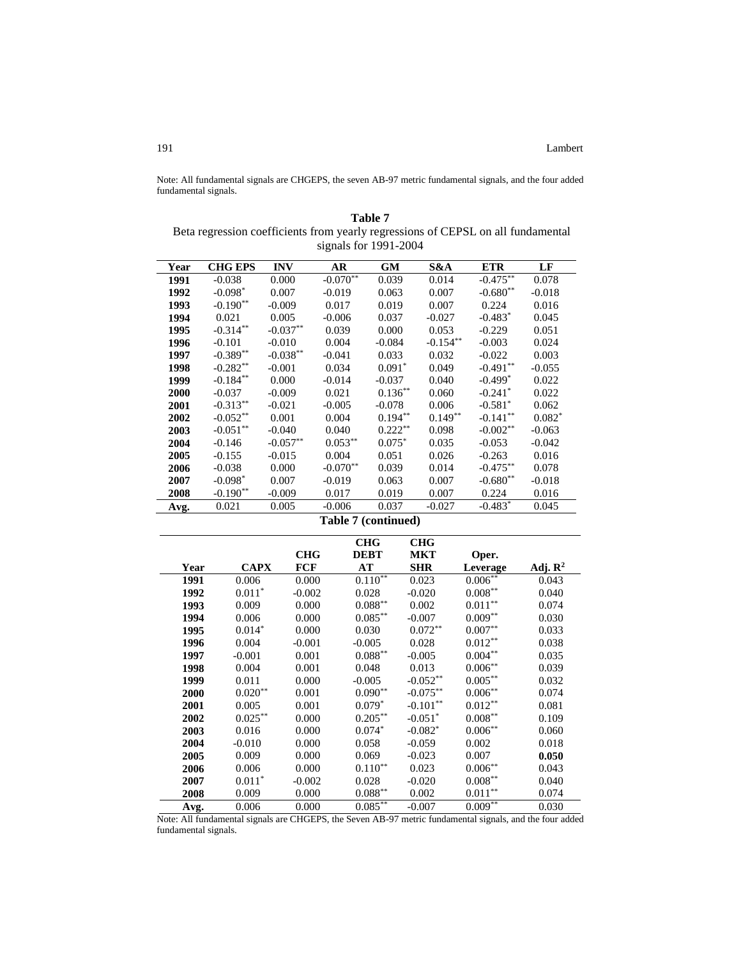Note: All fundamental signals are CHGEPS, the seven AB-97 metric fundamental signals, and the four added fundamental signals.

| Table 7                                                                          |
|----------------------------------------------------------------------------------|
| Beta regression coefficients from yearly regressions of CEPSL on all fundamental |
| signals for $1991-2004$                                                          |

| Year         |                |            |                     |                         |                         |                                  |                     |
|--------------|----------------|------------|---------------------|-------------------------|-------------------------|----------------------------------|---------------------|
|              | <b>CHG EPS</b> | <b>INV</b> | <b>AR</b>           | <b>GM</b>               | S&A                     | <b>ETR</b>                       | LF                  |
| 1991         | $-0.038$       | 0.000      | $-0.070**$          | 0.039                   | 0.014                   | $-0.475$ **                      | 0.078               |
| 1992         | $-0.098*$      | 0.007      | $-0.019$            | 0.063                   | 0.007                   | $-0.680**$                       | $-0.018$            |
| 1993         | $-0.190**$     | $-0.009$   | 0.017               | 0.019                   | 0.007                   | 0.224                            | 0.016               |
| 1994         | 0.021          | 0.005      | $-0.006$            | 0.037                   | $-0.027$                | $-0.483*$                        | 0.045               |
| 1995         | $-0.314**$     | $-0.037**$ | 0.039               | 0.000                   | 0.053                   | $-0.229$                         | 0.051               |
| 1996         | $-0.101$       | $-0.010$   | 0.004               | $-0.084$                | $-0.154**$              | $-0.003$                         | 0.024               |
| 1997         | $-0.389**$     | $-0.038**$ | $-0.041$            | 0.033                   | 0.032                   | $-0.022$                         | 0.003               |
| 1998         | $-0.282**$     | $-0.001$   | 0.034               | $0.091*$                | 0.049                   | $-0.491**$                       | $-0.055$            |
| 1999         | $-0.184**$     | 0.000      | $-0.014$            | $-0.037$                | 0.040                   | $-0.499*$                        | 0.022               |
| 2000         | $-0.037$       | $-0.009$   | 0.021               | $0.136**$               | 0.060                   | $-0.241$ <sup>*</sup>            | 0.022               |
| 2001         | $-0.313**$     | $-0.021$   | $-0.005$            | $-0.078$                | 0.006                   | $-0.581*$                        | 0.062               |
| 2002         | $-0.052**$     | 0.001      | 0.004               | $0.194**$               | $0.149**$               | $-0.141**$                       | $0.082*$            |
| 2003         | $-0.051**$     | $-0.040$   | 0.040               | $0.222***$              | 0.098                   | $-0.002**$                       | $-0.063$            |
| 2004         | $-0.146$       | $-0.057**$ | $0.053***$          | $0.075*$                | 0.035                   | $-0.053$                         | $-0.042$            |
| 2005         | $-0.155$       | $-0.015$   | 0.004               | 0.051                   | 0.026                   | $-0.263$                         | 0.016               |
| 2006         | $-0.038$       | 0.000      | $-0.070**$          | 0.039                   | 0.014                   | $-0.475***$                      | 0.078               |
| 2007         | $-0.098*$      | 0.007      | $-0.019$            | 0.063                   | 0.007                   | $-0.680**$                       | $-0.018$            |
| 2008         | $-0.190**$     | $-0.009$   | 0.017               | 0.019                   | 0.007                   | 0.224                            | 0.016               |
| Avg.         | 0.021          | 0.005      | $-0.006$            | 0.037                   | $-0.027$                | $-0.483*$                        | 0.045               |
|              |                |            |                     |                         |                         |                                  |                     |
|              |                |            | Table 7 (continued) |                         |                         |                                  |                     |
|              |                |            |                     | <b>CHG</b>              | <b>CHG</b>              |                                  |                     |
|              |                | <b>CHG</b> |                     | <b>DEBT</b>             | <b>MKT</b>              | Oper.                            |                     |
| Year         | <b>CAPX</b>    | <b>FCF</b> |                     | AT                      | <b>SHR</b>              | Leverage                         | Adj. $\mathbb{R}^2$ |
| 1991         | 0.006          |            |                     |                         |                         |                                  |                     |
|              |                | 0.000      |                     | $0.110**$               | 0.023                   | $0.006*$                         | 0.043               |
| 1992         | $0.011*$       | $-0.002$   |                     | 0.028                   | $-0.020$                | $0.008***$                       | 0.040               |
| 1993         | 0.009          | 0.000      |                     |                         | 0.002                   | $0.011**$                        | 0.074               |
| 1994         | 0.006          | 0.000      |                     | $0.088**$<br>$0.085***$ | $-0.007$                |                                  | 0.030               |
| 1995         | $0.014*$       | 0.000      |                     | 0.030                   | $0.072**$               | $0.009**$<br>$0.007**$           | 0.033               |
| 1996         | 0.004          | $-0.001$   |                     | $-0.005$                | 0.028                   |                                  | 0.038               |
| 1997         | $-0.001$       | 0.001      |                     | $0.088^{**}$            | $-0.005$                | $0.012^{\ast\ast}$<br>$0.004***$ | 0.035               |
| 1998         | 0.004          | 0.001      |                     | 0.048                   | 0.013                   | $0.006**$                        | 0.039               |
| 1999         | 0.011          | 0.000      |                     | $-0.005$                |                         |                                  | 0.032               |
| 2000         | $0.020**$      | 0.001      |                     | $0.090**$               | $-0.052**$              | $0.005***$<br>$0.006***$         | 0.074               |
| 2001         | 0.005          | 0.001      |                     | $0.079*$                | $-0.075***$             |                                  | 0.081               |
|              | $0.025***$     | 0.000      |                     |                         | $-0.101**$<br>$-0.051*$ | $0.012**$                        | 0.109               |
| 2002<br>2003 | 0.016          | 0.000      |                     | $0.205***$<br>$0.074*$  | $-0.082*$               | $0.008^{\ast\ast}$<br>$0.006**$  | 0.060               |
|              | $-0.010$       | 0.000      |                     | 0.058                   | $-0.059$                | 0.002                            | 0.018               |
| 2004<br>2005 | 0.009          | 0.000      |                     | 0.069                   | $-0.023$                | 0.007                            | 0.050               |
|              | 0.006          | 0.000      |                     |                         | 0.023                   |                                  | 0.043               |
| 2006         | $0.011*$       | $-0.002$   |                     | $0.110**$<br>0.028      |                         | $0.006^{\ast\ast}$               |                     |
| 2007<br>2008 | 0.009          | 0.000      |                     | $0.088**$               | $-0.020$<br>0.002       | $0.008***$<br>$0.011**$          | 0.040<br>0.074      |

Note: All fundamental signals are CHGEPS, the Seven AB-97 metric fundamental signals, and the four added fundamental signals.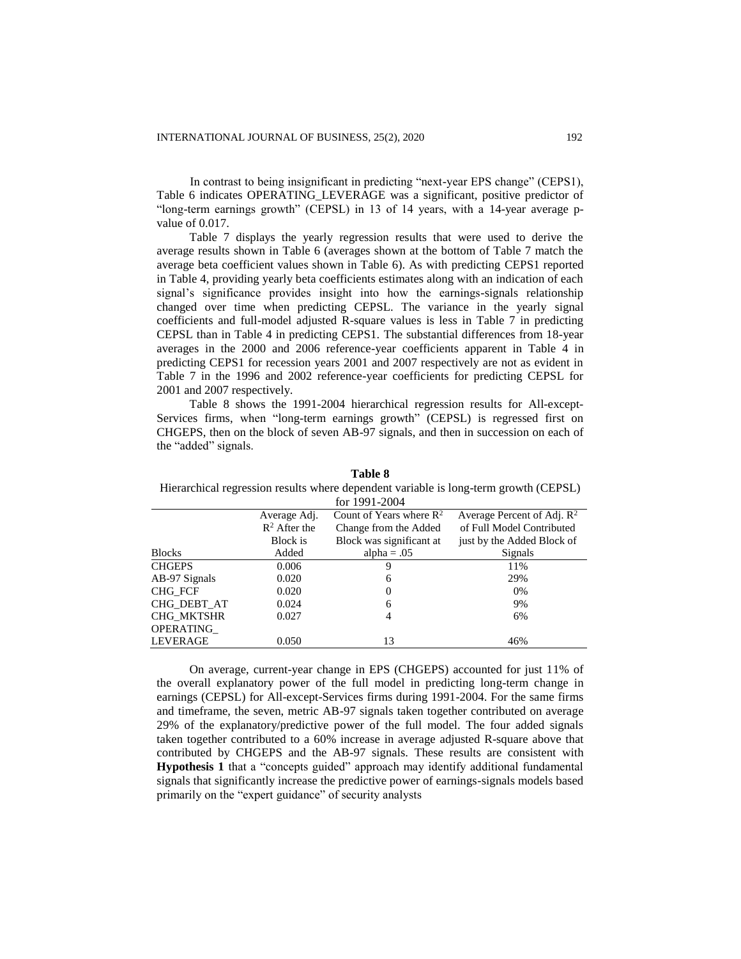In contrast to being insignificant in predicting "next-year EPS change" (CEPS1), Table 6 indicates OPERATING\_LEVERAGE was a significant, positive predictor of "long-term earnings growth" (CEPSL) in 13 of 14 years, with a 14-year average pvalue of 0.017.

Table 7 displays the yearly regression results that were used to derive the average results shown in Table 6 (averages shown at the bottom of Table 7 match the average beta coefficient values shown in Table 6). As with predicting CEPS1 reported in Table 4, providing yearly beta coefficients estimates along with an indication of each signal's significance provides insight into how the earnings-signals relationship changed over time when predicting CEPSL. The variance in the yearly signal coefficients and full-model adjusted R-square values is less in Table 7 in predicting CEPSL than in Table 4 in predicting CEPS1. The substantial differences from 18-year averages in the 2000 and 2006 reference-year coefficients apparent in Table 4 in predicting CEPS1 for recession years 2001 and 2007 respectively are not as evident in Table 7 in the 1996 and 2002 reference-year coefficients for predicting CEPSL for 2001 and 2007 respectively.

Table 8 shows the 1991-2004 hierarchical regression results for All-except-Services firms, when "long-term earnings growth" (CEPSL) is regressed first on CHGEPS, then on the block of seven AB-97 signals, and then in succession on each of the "added" signals.

|                 |                 | for 1991-2004                       |                               |
|-----------------|-----------------|-------------------------------------|-------------------------------|
|                 | Average Adj.    | Count of Years where $\mathbb{R}^2$ | Average Percent of Adj. $R^2$ |
|                 | $R^2$ After the | Change from the Added               | of Full Model Contributed     |
|                 | <b>Block</b> is | Block was significant at            | just by the Added Block of    |
| <b>Blocks</b>   | Added           | alpha = $.05$                       | Signals                       |
| <b>CHGEPS</b>   | 0.006           | 9                                   | 11%                           |
| AB-97 Signals   | 0.020           | 6                                   | 29%                           |
| CHG FCF         | 0.020           | $\overline{0}$                      | $0\%$                         |
| CHG DEBT AT     | 0.024           | 6                                   | 9%                            |
| CHG MKTSHR      | 0.027           | 4                                   | 6%                            |
| OPERATING       |                 |                                     |                               |
| <b>LEVERAGE</b> | 0.050           | 13                                  | 46%                           |

**Table 8** 

Hierarchical regression results where dependent variable is long-term growth (CEPSL)

On average, current-year change in EPS (CHGEPS) accounted for just 11% of the overall explanatory power of the full model in predicting long-term change in earnings (CEPSL) for All-except-Services firms during 1991-2004. For the same firms and timeframe, the seven, metric AB-97 signals taken together contributed on average 29% of the explanatory/predictive power of the full model. The four added signals taken together contributed to a 60% increase in average adjusted R-square above that contributed by CHGEPS and the AB-97 signals. These results are consistent with **Hypothesis 1** that a "concepts guided" approach may identify additional fundamental signals that significantly increase the predictive power of earnings-signals models based primarily on the "expert guidance" of security analysts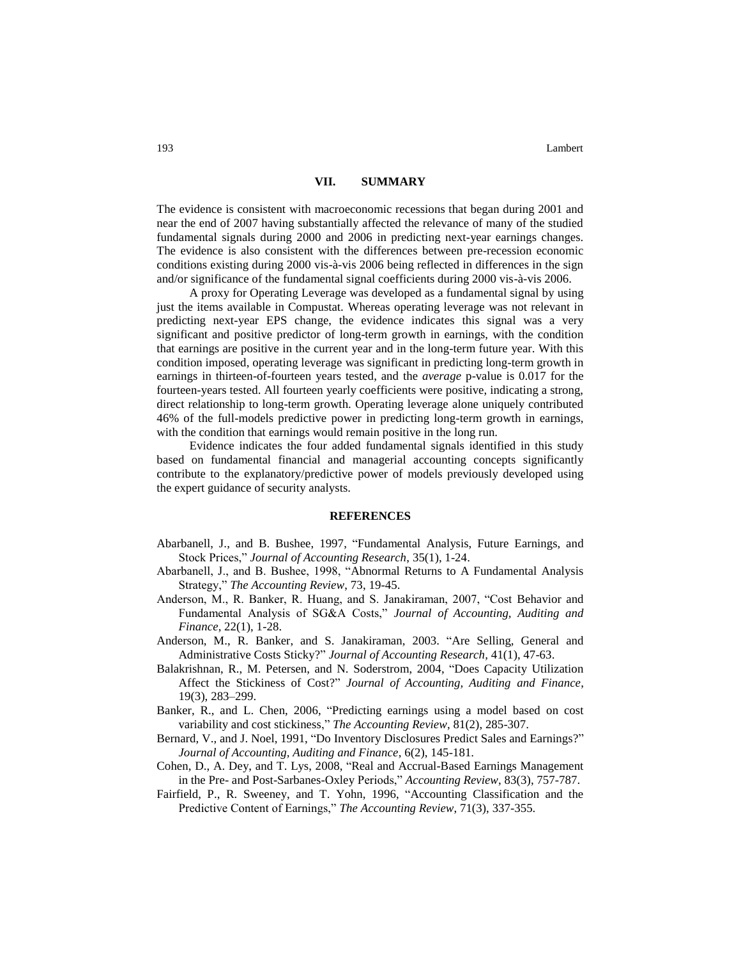#### **VII. SUMMARY**

The evidence is consistent with macroeconomic recessions that began during 2001 and near the end of 2007 having substantially affected the relevance of many of the studied fundamental signals during 2000 and 2006 in predicting next-year earnings changes. The evidence is also consistent with the differences between pre-recession economic conditions existing during 2000 vis-à-vis 2006 being reflected in differences in the sign and/or significance of the fundamental signal coefficients during 2000 vis-à-vis 2006.

A proxy for Operating Leverage was developed as a fundamental signal by using just the items available in Compustat. Whereas operating leverage was not relevant in predicting next-year EPS change, the evidence indicates this signal was a very significant and positive predictor of long-term growth in earnings, with the condition that earnings are positive in the current year and in the long-term future year. With this condition imposed, operating leverage was significant in predicting long-term growth in earnings in thirteen-of-fourteen years tested, and the *average* p-value is 0.017 for the fourteen-years tested. All fourteen yearly coefficients were positive, indicating a strong, direct relationship to long-term growth. Operating leverage alone uniquely contributed 46% of the full-models predictive power in predicting long-term growth in earnings, with the condition that earnings would remain positive in the long run.

Evidence indicates the four added fundamental signals identified in this study based on fundamental financial and managerial accounting concepts significantly contribute to the explanatory/predictive power of models previously developed using the expert guidance of security analysts.

#### **REFERENCES**

- Abarbanell, J., and B. Bushee, 1997, "Fundamental Analysis, Future Earnings, and Stock Prices," *Journal of Accounting Research*, 35(1), 1-24.
- Abarbanell, J., and B. Bushee, 1998, "Abnormal Returns to A Fundamental Analysis Strategy," *The Accounting Review*, 73, 19-45.
- Anderson, M., R. Banker, R. Huang, and S. Janakiraman, 2007, "Cost Behavior and Fundamental Analysis of SG&A Costs," *Journal of Accounting, Auditing and Finance*, 22(1), 1-28.
- Anderson, M., R. Banker, and S. Janakiraman, 2003. "Are Selling, General and Administrative Costs Sticky?" *Journal of Accounting Research,* 41(1), 47-63.
- Balakrishnan, R., M. Petersen, and N. Soderstrom, 2004, "Does Capacity Utilization Affect the Stickiness of Cost?" *Journal of Accounting, Auditing and Finance*, 19(3), 283–299.
- Banker, R., and L. Chen, 2006, "Predicting earnings using a model based on cost variability and cost stickiness," *The Accounting Review*, 81(2), 285-307.
- Bernard, V., and J. Noel, 1991, "Do Inventory Disclosures Predict Sales and Earnings?" *Journal of Accounting, Auditing and Finance*, 6(2), 145-181.
- Cohen, D., A. Dey, and T. Lys, 2008, "Real and Accrual-Based Earnings Management in the Pre- and Post-Sarbanes-Oxley Periods," *Accounting Review*, 83(3), 757-787.
- Fairfield, P., R. Sweeney, and T. Yohn, 1996, "Accounting Classification and the Predictive Content of Earnings," *The Accounting Review*, 71(3), 337-355.